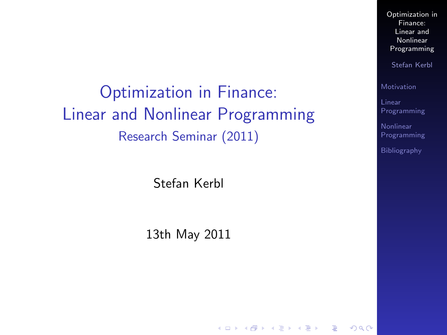Optimization in Finance: Linear and Nonlinear Programming Research Seminar (2011)

Stefan Kerbl

<span id="page-0-0"></span>13th May 2011

イロト 不優 ト 不差 ト 不差 トー 差し

[Optimization in](#page-19-0) Finance: Linear and Nonlinear Programming

Stefan Kerbl

[Motivation](#page-1-0)

Linear [Programming](#page-4-0)

Nonlinear [Programming](#page-10-0)

[Bibliography](#page-19-0)

 $QQQ$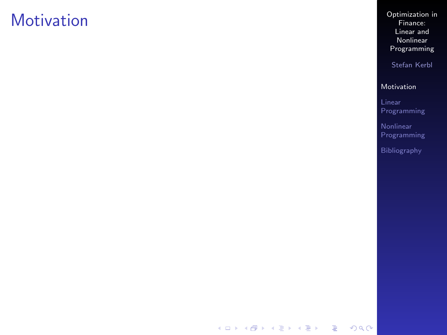# **Motivation**

[Optimization in](#page-0-0) Finance: Linear and Nonlinear Programming

Stefan Kerbl

#### [Motivation](#page-1-0)

Linear [Programming](#page-4-0)

Nonlinear [Programming](#page-10-0)

[Bibliography](#page-19-0)

<span id="page-1-0"></span>KEIKK@IKKEIKKEIK E 1990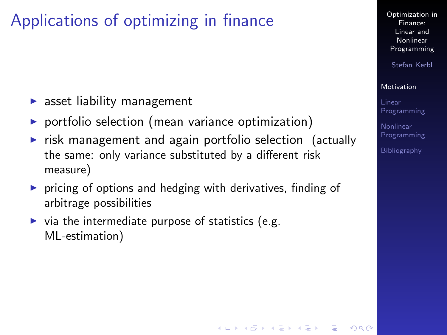# Applications of optimizing in finance

- $\blacktriangleright$  asset liability management
- $\triangleright$  portfolio selection (mean variance optimization)
- $\triangleright$  risk management and again portfolio selection (actually the same: only variance substituted by a different risk measure)

**A O A G A 4 O A C A G A G A H 4 O A C** 

- $\triangleright$  pricing of options and hedging with derivatives, finding of arbitrage possibilities
- $\triangleright$  via the intermediate purpose of statistics (e.g. ML-estimation)

[Optimization in](#page-0-0) Finance: Linear and Nonlinear Programming

Stefan Kerbl

#### [Motivation](#page-1-0)

Linear [Programming](#page-4-0)

Nonlinear [Programming](#page-10-0)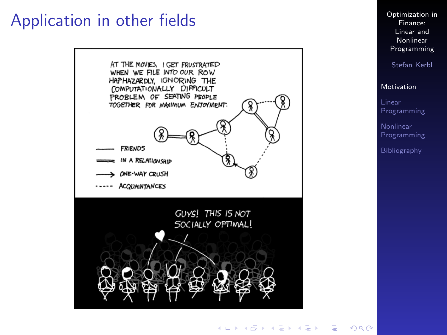# Application in other fields

AT THE MOVIES, I GET FRUSTRATED WHEN WE FILE INTO OUR ROW HAPHAZARDLY, IGNORING THE COMPUTATIONALLY DIFFICULT PROBLEM OF SEATING PEOPLE TOGETHER FOR MAXIMUM ENTOYMENT. **FRIENDS** IN A RELATIONSHIP ONE-WAY CRUSH ACQUAINTANCES GUYS! THIS IS NOT SOCIALLY OPTIMAL! [Optimization in](#page-0-0) Finance: Linear and Nonlinear Programming

Stefan Kerbl

[Motivation](#page-1-0)

Linear [Programming](#page-4-0)

Nonlinear [Programming](#page-10-0)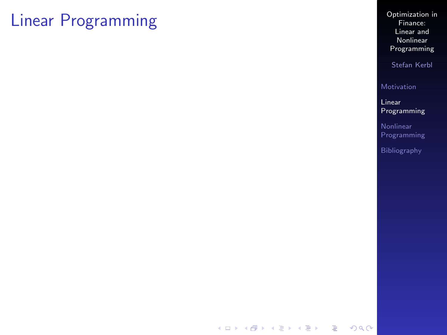# Linear Programming

[Optimization in](#page-0-0) Finance: Linear and Nonlinear Programming

Stefan Kerbl

[Motivation](#page-1-0)

Linear [Programming](#page-4-0)

Nonlinear [Programming](#page-10-0)

[Bibliography](#page-19-0)

<span id="page-4-0"></span>KEIKK@IKKEIKKEIK E 1990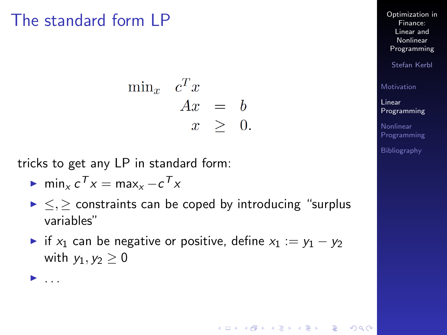# The standard form LP

$$
\begin{array}{rcl}\n\min_x & c^T x \\
Ax & = & b \\
x & > & 0\n\end{array}
$$

tricks to get any LP in standard form:

► min<sub>x</sub>  $c^T x = max_x - c^T x$ 

<sup>I</sup> . . .

- $\blacktriangleright \leq$   $\geq$  constraints can be coped by introducing "surplus variables"
- $\triangleright$  if  $x_1$  can be negative or positive, define  $x_1 := y_1 y_2$ with  $y_1, y_2 > 0$

**KORKA SERKER ORA** 

[Optimization in](#page-0-0) Finance: Linear and Nonlinear Programming

Stefan Kerbl

[Motivation](#page-1-0)

Linear [Programming](#page-4-0)

Nonlinear [Programming](#page-10-0)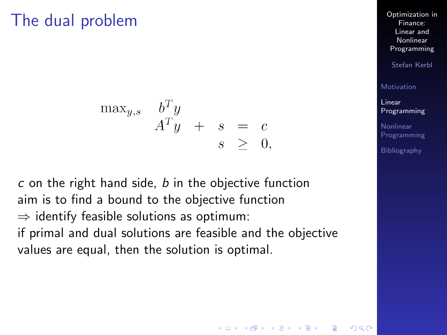# The dual problem

$$
\begin{array}{rcl}\n\max_{y,s} & b^T y \\
A^T y & + & s = c \\
s & \geq & 0,\n\end{array}
$$

 $c$  on the right hand side,  $b$  in the objective function aim is to find a bound to the objective function  $\Rightarrow$  identify feasible solutions as optimum: if primal and dual solutions are feasible and the objective values are equal, then the solution is optimal.

[Optimization in](#page-0-0) Finance: Linear and Nonlinear **Programming** 

Stefan Kerbl

[Motivation](#page-1-0)

Linear [Programming](#page-4-0)

Nonlinear [Programming](#page-10-0)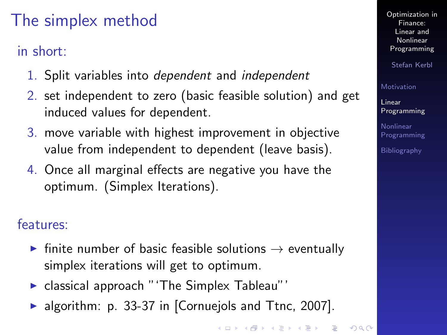# The simplex method

in short:

- 1. Split variables into dependent and independent
- 2. set independent to zero (basic feasible solution) and get induced values for dependent.
- 3. move variable with highest improvement in objective value from independent to dependent (leave basis).
- 4. Once all marginal effects are negative you have the optimum. (Simplex Iterations).

## features:

- **Finite number of basic feasible solutions**  $\rightarrow$  eventually simplex iterations will get to optimum.
- $\blacktriangleright$  classical approach "'The Simplex Tableau"'
- $\blacktriangleright$  algorithm: p. 33-37 in [\[Cornuejols and Ttnc, 2007\]](#page-19-1).

[Optimization in](#page-0-0) Finance: Linear and Nonlinear Programming

Stefan Kerbl

[Motivation](#page-1-0)

Linear [Programming](#page-4-0)

Nonlinear [Programming](#page-10-0)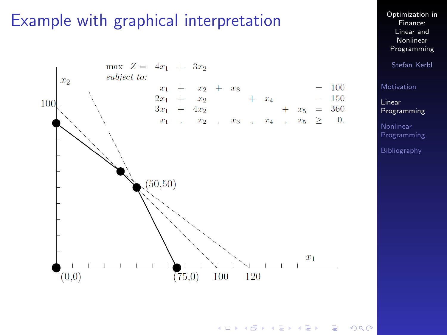# Example with graphical interpretation



[Optimization in](#page-0-0) Finance: Linear and Nonlinear Programming

Stefan Kerbl

#### **[Motivation](#page-1-0)**

Linear [Programming](#page-4-0)

**Nonlinear** [Programming](#page-10-0)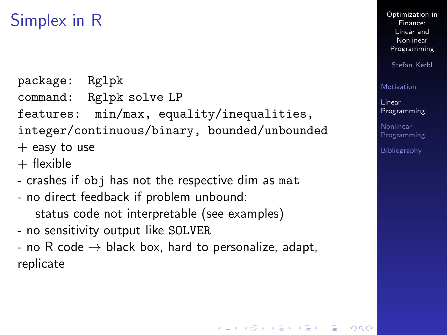# Simplex in R

- package: Rglpk command: Rglpk\_solve\_LP
- features: min/max, equality/inequalities,
- integer/continuous/binary, bounded/unbounded
- $+$  easy to use
- $+$  flexible
- crashes if obj has not the respective dim as mat
- no direct feedback if problem unbound: status code not interpretable (see examples)
- no sensitivity output like SOLVER
- no R code  $\rightarrow$  black box, hard to personalize, adapt, replicate

[Optimization in](#page-0-0) Finance: Linear and Nonlinear Programming

Stefan Kerbl

[Motivation](#page-1-0)

Linear [Programming](#page-4-0)

Nonlinear [Programming](#page-10-0)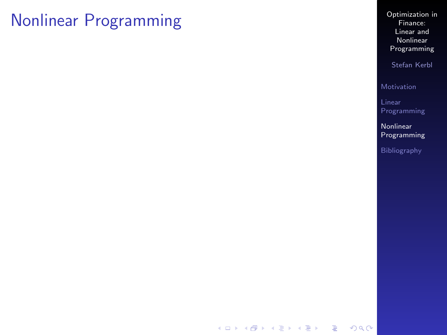# Nonlinear Programming

[Optimization in](#page-0-0) Finance: Linear and Nonlinear Programming

Stefan Kerbl

[Motivation](#page-1-0)

Linear [Programming](#page-4-0)

**Nonlinear** [Programming](#page-10-0)

[Bibliography](#page-19-0)

#### <span id="page-10-0"></span>KO K K (D) K E K K E K K K K K K K K K K K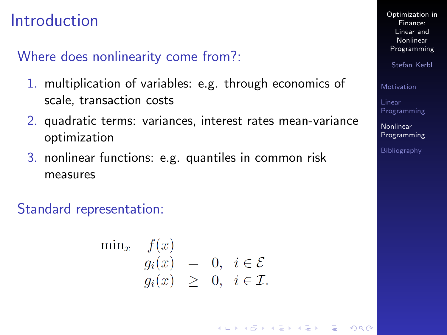# Introduction

## Where does nonlinearity come from?:

- 1. multiplication of variables: e.g. through economics of scale, transaction costs
- 2. quadratic terms: variances, interest rates mean-variance optimization
- 3. nonlinear functions: e.g. quantiles in common risk measures

## Standard representation:

$$
\begin{array}{rcl}\n\min_x & f(x) \\
g_i(x) & = & 0, \ \ i \in \mathcal{E} \\
g_i(x) & \geq & 0, \ \ i \in \mathcal{I}.\n\end{array}
$$

[Optimization in](#page-0-0) Finance: Linear and Nonlinear Programming

Stefan Kerbl

**[Motivation](#page-1-0)** 

Linear [Programming](#page-4-0)

Nonlinear [Programming](#page-10-0)

[Bibliography](#page-19-0)

**KORKA SERKER ORA**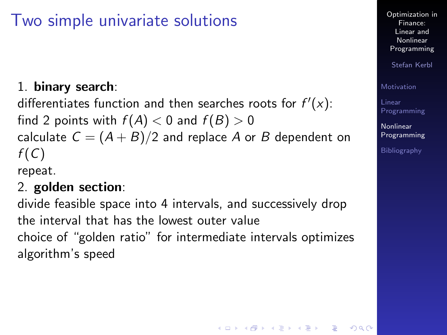# Two simple univariate solutions

#### 1. binary search:

differentiates function and then searches roots for  $f'(x)$ : find 2 points with  $f(A) < 0$  and  $f(B) > 0$ calculate  $C = (A + B)/2$  and replace A or B dependent on  $f(C)$ 

repeat.

#### 2. golden section:

divide feasible space into 4 intervals, and successively drop the interval that has the lowest outer value choice of "golden ratio" for intermediate intervals optimizes algorithm's speed

[Optimization in](#page-0-0) **Finance** Linear and Nonlinear Programming

Stefan Kerbl

[Motivation](#page-1-0)

Linear [Programming](#page-4-0)

Nonlinear [Programming](#page-10-0)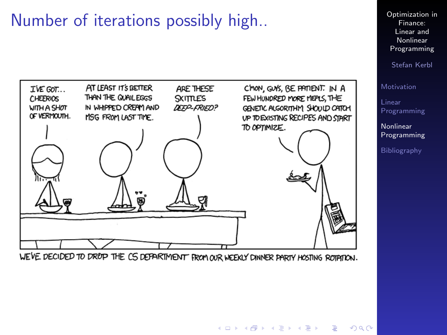# Number of iterations possibly high..



WE'VE DECIDED TO DROP THE CS DEPARTMENT FROM OUR WEEKLY DINNER PARTY HOSTING ROTATION.

#### [Optimization in](#page-0-0) Finance: Linear and Nonlinear Programming

Stefan Kerbl

[Motivation](#page-1-0)

Linear [Programming](#page-4-0)

Nonlinear [Programming](#page-10-0)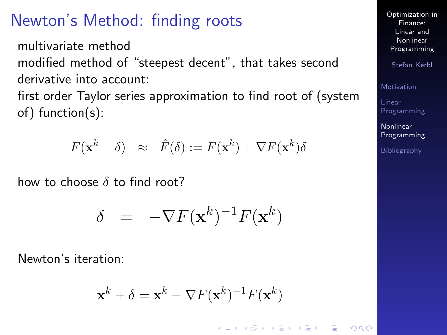# Newton's Method: finding roots

multivariate method

modified method of "steepest decent", that takes second derivative into account:

first order Taylor series approximation to find root of (system of) function(s):

$$
F(\mathbf{x}^k + \delta) \quad \approx \quad \hat{F}(\delta) := F(\mathbf{x}^k) + \nabla F(\mathbf{x}^k)\delta
$$

how to choose  $\delta$  to find root?

$$
\delta \hspace{.2cm} = \hspace{.2cm} -\nabla F({\mathbf{x}}^k)^{-1}F({\mathbf{x}}^k)
$$

Newton's iteration:

$$
\mathbf{x}^{k} + \delta = \mathbf{x}^{k} - \nabla F(\mathbf{x}^{k})^{-1} F(\mathbf{x}^{k})
$$

[Optimization in](#page-0-0) Finance: Linear and Nonlinear Programming

Stefan Kerbl

[Motivation](#page-1-0)

**Linear** [Programming](#page-4-0)

Nonlinear [Programming](#page-10-0)

[Bibliography](#page-19-0)

KEIKK@IKKEIKKEIK E 1990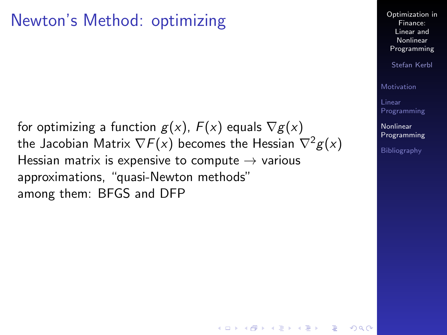# Newton's Method: optimizing

<span id="page-15-0"></span>for optimizing a function  $g(x)$ ,  $F(x)$  equals  $\nabla g(x)$ the Jacobian Matrix  $\nabla F(x)$  becomes the Hessian  $\nabla^2 g(x)$ Hessian matrix is expensive to compute  $\rightarrow$  various approximations, "quasi-Newton methods" among them: BFGS and DFP

[Optimization in](#page-0-0) Finance: Linear and Nonlinear Programming

Stefan Kerbl

[Motivation](#page-1-0)

Linear [Programming](#page-4-0)

Nonlinear [Programming](#page-10-0)

[Bibliography](#page-19-0)

**KORKA SERKER ORA**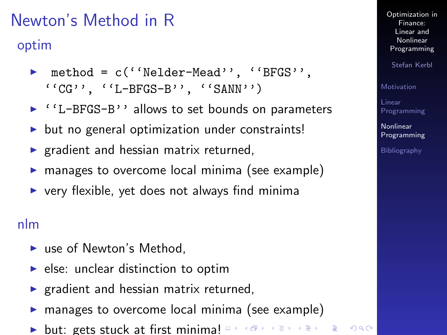# Newton's Method in R

optim

- $\blacktriangleright$  method = c(''Nelder-Mead'', ''BFGS'', ''CG'', ''L-BFGS-B'', ''SANN'')
- $\triangleright$  ''L-BFGS-B'' allows to set bounds on parameters
- $\triangleright$  but no general optimization under constraints!
- $\triangleright$  gradient and hessian matrix returned,
- $\triangleright$  manages to overcome local minima (see example)
- $\triangleright$  very flexible, yet does not always find minima

#### nlm

- $\blacktriangleright$  use of Newton's Method,
- $\blacktriangleright$  else: unclear distinction to optim
- $\triangleright$  gradient and hessian matrix returned,
- $\triangleright$  manages to overcome local minima (see example)
- > but: gets stuck at first minim[a!](#page-15-0) DE MER WERE E DAG

[Optimization in](#page-0-0) Finance: Linear and Nonlinear Programming

Stefan Kerbl

[Motivation](#page-1-0)

Linear [Programming](#page-4-0)

Nonlinear [Programming](#page-10-0)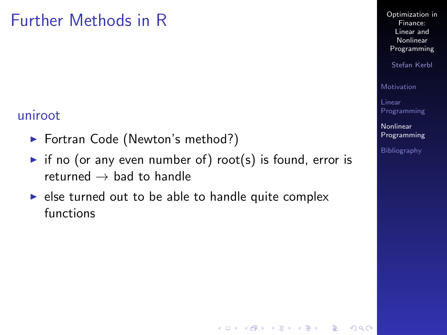# Further Methods in R

#### uniroot

- ▶ Fortran Code (Newton's method?)
- if no (or any even number of) root(s) is found, error is returned  $\rightarrow$  bad to handle

**KORKA SERKER ORA** 

 $\triangleright$  else turned out to be able to handle quite complex functions

[Optimization in](#page-0-0) Finance: Linear and Nonlinear Programming

Stefan Kerbl

[Motivation](#page-1-0)

Linear [Programming](#page-4-0)

Nonlinear **[Programming](#page-10-0)**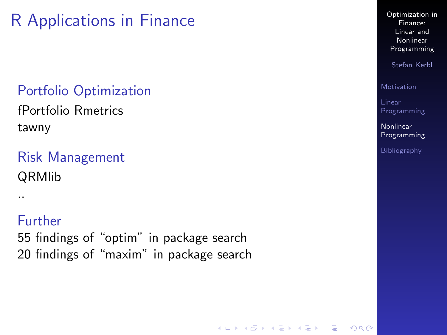# R Applications in Finance

## Portfolio Optimization

fPortfolio Rmetrics tawny

Risk Management QRMlib

## Further

..

55 findings of "optim" in package search 20 findings of "maxim" in package search [Optimization in](#page-0-0) Finance: Linear and Nonlinear Programming

Stefan Kerbl

[Motivation](#page-1-0)

Linear [Programming](#page-4-0)

Nonlinear [Programming](#page-10-0)

[Bibliography](#page-19-0)